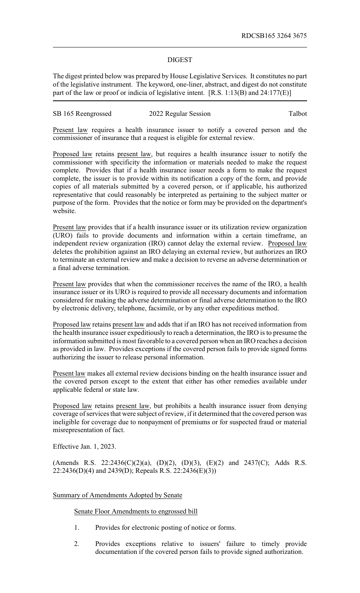## DIGEST

The digest printed below was prepared by House Legislative Services. It constitutes no part of the legislative instrument. The keyword, one-liner, abstract, and digest do not constitute part of the law or proof or indicia of legislative intent. [R.S. 1:13(B) and 24:177(E)]

## SB 165 Reengrossed 2022 Regular Session Talbot

Present law requires a health insurance issuer to notify a covered person and the commissioner of insurance that a request is eligible for external review.

Proposed law retains present law, but requires a health insurance issuer to notify the commissioner with specificity the information or materials needed to make the request complete. Provides that if a health insurance issuer needs a form to make the request complete, the issuer is to provide within its notification a copy of the form, and provide copies of all materials submitted by a covered person, or if applicable, his authorized representative that could reasonably be interpreted as pertaining to the subject matter or purpose of the form. Provides that the notice or form may be provided on the department's website.

Present law provides that if a health insurance issuer or its utilization review organization (URO) fails to provide documents and information within a certain timeframe, an independent review organization (IRO) cannot delay the external review. Proposed law deletes the prohibition against an IRO delaying an external review, but authorizes an IRO to terminate an external review and make a decision to reverse an adverse determination or a final adverse termination.

Present law provides that when the commissioner receives the name of the IRO, a health insurance issuer or its URO is required to provide all necessary documents and information considered for making the adverse determination or final adverse determination to the IRO by electronic delivery, telephone, facsimile, or by any other expeditious method.

Proposed law retains present law and adds that if an IRO has not received information from the health insurance issuer expeditiously to reach a determination, the IRO is to presume the information submitted is most favorable to a covered person when an IRO reaches a decision as provided in law. Provides exceptions if the covered person fails to provide signed forms authorizing the issuer to release personal information.

Present law makes all external review decisions binding on the health insurance issuer and the covered person except to the extent that either has other remedies available under applicable federal or state law.

Proposed law retains present law, but prohibits a health insurance issuer from denying coverage of services that were subject of review, if it determined that the covered person was ineligible for coverage due to nonpayment of premiums or for suspected fraud or material misrepresentation of fact.

Effective Jan. 1, 2023.

(Amends R.S. 22:2436(C)(2)(a), (D)(2), (D)(3), (E)(2) and 2437(C); Adds R.S. 22:2436(D)(4) and 2439(D); Repeals R.S. 22:2436(E)(3))

## Summary of Amendments Adopted by Senate

Senate Floor Amendments to engrossed bill

- 1. Provides for electronic posting of notice or forms.
- 2. Provides exceptions relative to issuers' failure to timely provide documentation if the covered person fails to provide signed authorization.